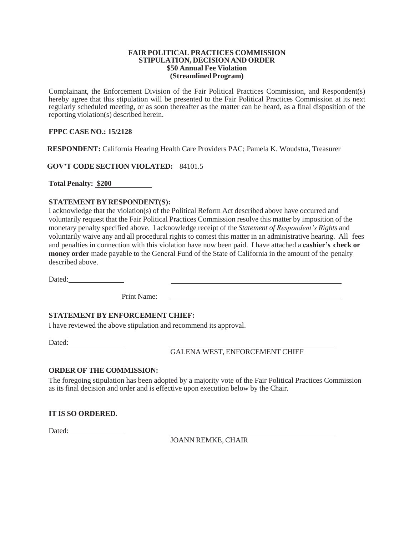#### **FAIR POLITICAL PRACTICES COMMISSION STIPULATION, DECISION AND ORDER \$50 Annual Fee Violation (Streamlined Program)**

Complainant, the Enforcement Division of the Fair Political Practices Commission, and Respondent(s) hereby agree that this stipulation will be presented to the Fair Political Practices Commission at its next regularly scheduled meeting, or as soon thereafter as the matter can be heard, as a final disposition of the reporting violation(s) described herein.

### **FPPC CASE NO.: 15/2128**

**RESPONDENT:** California Hearing Health Care Providers PAC; Pamela K. Woudstra, Treasurer

**GOV'T CODE SECTION VIOLATED:** 84101.5

**Total Penalty: \$200**

#### **STATEMENT BY RESPONDENT(S):**

I acknowledge that the violation(s) of the Political Reform Act described above have occurred and voluntarily request that the Fair Political Practices Commission resolve this matter by imposition of the monetary penalty specified above. I acknowledge receipt of the *Statement of Respondent's Rights* and voluntarily waive any and all procedural rights to contest this matter in an administrative hearing. All fees and penalties in connection with this violation have now been paid. I have attached a **cashier's check or money order** made payable to the General Fund of the State of California in the amount of the penalty described above.

Dated:

Print Name:

## **STATEMENT BY ENFORCEMENT CHIEF:**

I have reviewed the above stipulation and recommend its approval.

Dated:

GALENA WEST, ENFORCEMENT CHIEF

#### **ORDER OF THE COMMISSION:**

The foregoing stipulation has been adopted by a majority vote of the Fair Political Practices Commission as its final decision and order and is effective upon execution below by the Chair.

## **IT IS SO ORDERED.**

Dated:

JOANN REMKE, CHAIR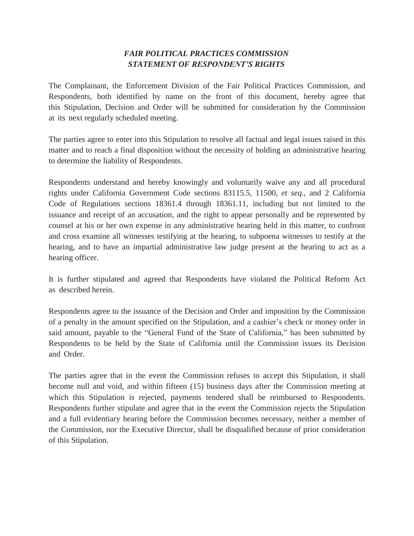# *FAIR POLITICAL PRACTICES COMMISSION STATEMENT OF RESPONDENT'S RIGHTS*

The Complainant, the Enforcement Division of the Fair Political Practices Commission, and Respondents, both identified by name on the front of this document, hereby agree that this Stipulation, Decision and Order will be submitted for consideration by the Commission at its next regularly scheduled meeting.

The parties agree to enter into this Stipulation to resolve all factual and legal issues raised in this matter and to reach a final disposition without the necessity of holding an administrative hearing to determine the liability of Respondents.

Respondents understand and hereby knowingly and voluntarily waive any and all procedural rights under California Government Code sections 83115.5, 11500, *et seq*., and 2 California Code of Regulations sections 18361.4 through 18361.11, including but not limited to the issuance and receipt of an accusation, and the right to appear personally and be represented by counsel at his or her own expense in any administrative hearing held in this matter, to confront and cross examine all witnesses testifying at the hearing, to subpoena witnesses to testify at the hearing, and to have an impartial administrative law judge present at the hearing to act as a hearing officer.

It is further stipulated and agreed that Respondents have violated the Political Reform Act as described herein.

Respondents agree to the issuance of the Decision and Order and imposition by the Commission of a penalty in the amount specified on the Stipulation, and a cashier's check or money order in said amount, payable to the "General Fund of the State of California," has been submitted by Respondents to be held by the State of California until the Commission issues its Decision and Order.

The parties agree that in the event the Commission refuses to accept this Stipulation, it shall become null and void, and within fifteen (15) business days after the Commission meeting at which this Stipulation is rejected, payments tendered shall be reimbursed to Respondents. Respondents further stipulate and agree that in the event the Commission rejects the Stipulation and a full evidentiary hearing before the Commission becomes necessary, neither a member of the Commission, nor the Executive Director, shall be disqualified because of prior consideration of this Stipulation.